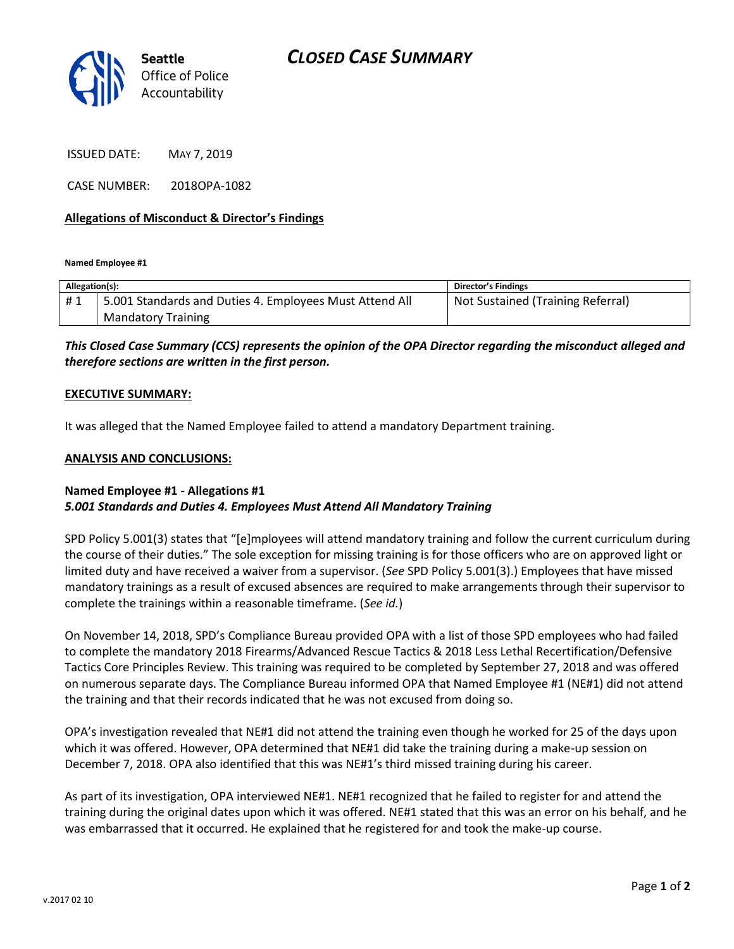

ISSUED DATE: MAY 7, 2019

CASE NUMBER: 2018OPA-1082

### **Allegations of Misconduct & Director's Findings**

**Named Employee #1**

| Allegation(s): |                                                         | Director's Findings               |
|----------------|---------------------------------------------------------|-----------------------------------|
| #1             | 5.001 Standards and Duties 4. Employees Must Attend All | Not Sustained (Training Referral) |
|                | <b>Mandatory Training</b>                               |                                   |

# *This Closed Case Summary (CCS) represents the opinion of the OPA Director regarding the misconduct alleged and therefore sections are written in the first person.*

#### **EXECUTIVE SUMMARY:**

It was alleged that the Named Employee failed to attend a mandatory Department training.

#### **ANALYSIS AND CONCLUSIONS:**

## **Named Employee #1 - Allegations #1** *5.001 Standards and Duties 4. Employees Must Attend All Mandatory Training*

SPD Policy 5.001(3) states that "[e]mployees will attend mandatory training and follow the current curriculum during the course of their duties." The sole exception for missing training is for those officers who are on approved light or limited duty and have received a waiver from a supervisor. (*See* SPD Policy 5.001(3).) Employees that have missed mandatory trainings as a result of excused absences are required to make arrangements through their supervisor to complete the trainings within a reasonable timeframe. (*See id.*)

On November 14, 2018, SPD's Compliance Bureau provided OPA with a list of those SPD employees who had failed to complete the mandatory 2018 Firearms/Advanced Rescue Tactics & 2018 Less Lethal Recertification/Defensive Tactics Core Principles Review. This training was required to be completed by September 27, 2018 and was offered on numerous separate days. The Compliance Bureau informed OPA that Named Employee #1 (NE#1) did not attend the training and that their records indicated that he was not excused from doing so.

OPA's investigation revealed that NE#1 did not attend the training even though he worked for 25 of the days upon which it was offered. However, OPA determined that NE#1 did take the training during a make-up session on December 7, 2018. OPA also identified that this was NE#1's third missed training during his career.

As part of its investigation, OPA interviewed NE#1. NE#1 recognized that he failed to register for and attend the training during the original dates upon which it was offered. NE#1 stated that this was an error on his behalf, and he was embarrassed that it occurred. He explained that he registered for and took the make-up course.